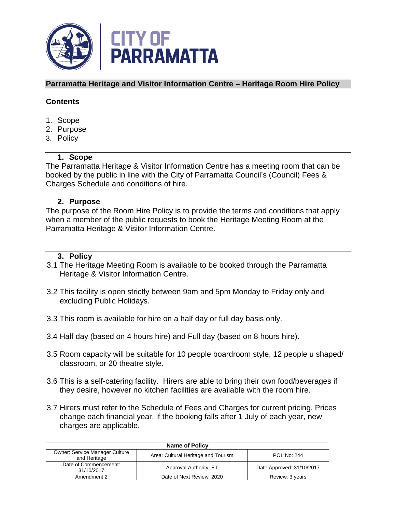

# **Parramatta Heritage and Visitor Information Centre – Heritage Room Hire Policy**

# **Contents**

- 1. Scope
- 2. Purpose
- 3. Policy

# **1. Scope**

The Parramatta Heritage & Visitor Information Centre has a meeting room that can be booked by the public in line with the City of Parramatta Council's (Council) Fees & Charges Schedule and conditions of hire.

# **2. Purpose**

The purpose of the Room Hire Policy is to provide the terms and conditions that apply when a member of the public requests to book the Heritage Meeting Room at the Parramatta Heritage & Visitor Information Centre.

# **3. Policy**

- 3.1 The Heritage Meeting Room is available to be booked through the Parramatta Heritage & Visitor Information Centre.
- 3.2 This facility is open strictly between 9am and 5pm Monday to Friday only and excluding Public Holidays.
- 3.3 This room is available for hire on a half day or full day basis only.
- 3.4 Half day (based on 4 hours hire) and Full day (based on 8 hours hire).
- 3.5 Room capacity will be suitable for 10 people boardroom style, 12 people u shaped/ classroom, or 20 theatre style.
- 3.6 This is a self-catering facility. Hirers are able to bring their own food/beverages if they desire, however no kitchen facilities are available with the room hire.
- 3.7 Hirers must refer to the Schedule of Fees and Charges for current pricing. Prices change each financial year, if the booking falls after 1 July of each year, new charges are applicable.

| <b>Name of Policy</b>                                 |                                     |                           |
|-------------------------------------------------------|-------------------------------------|---------------------------|
| <b>Owner: Service Manager Culture</b><br>and Heritage | Area: Cultural Heritage and Tourism | POL No: 244               |
| Date of Commencement:<br>31/10/2017                   | Approval Authority: ET              | Date Approved: 31/10/2017 |
| Amendment 2                                           | Date of Next Review: 2020           | Review: 3 years           |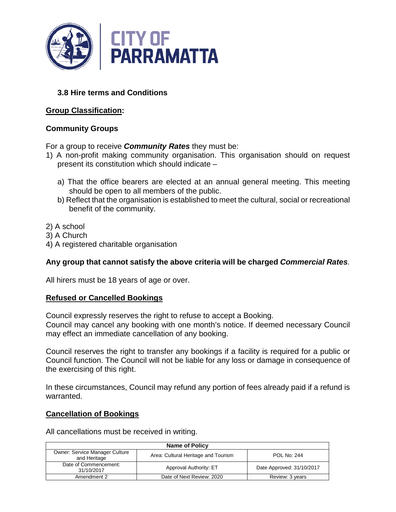

# **3.8 Hire terms and Conditions**

# **Group Classification:**

# **Community Groups**

For a group to receive *Community Rates* they must be:

- 1) A non-profit making community organisation. This organisation should on request present its constitution which should indicate –
	- a) That the office bearers are elected at an annual general meeting. This meeting should be open to all members of the public.
	- b) Reflect that the organisation is established to meet the cultural, social or recreational benefit of the community.
- 2) A school
- 3) A Church
- 4) A registered charitable organisation

# **Any group that cannot satisfy the above criteria will be charged** *Commercial Rates.*

All hirers must be 18 years of age or over.

## **Refused or Cancelled Bookings**

Council expressly reserves the right to refuse to accept a Booking.

Council may cancel any booking with one month's notice. If deemed necessary Council may effect an immediate cancellation of any booking.

Council reserves the right to transfer any bookings if a facility is required for a public or Council function. The Council will not be liable for any loss or damage in consequence of the exercising of this right.

In these circumstances, Council may refund any portion of fees already paid if a refund is warranted.

## **Cancellation of Bookings**

All cancellations must be received in writing.

| <b>Name of Policy</b>                                 |                                     |                           |
|-------------------------------------------------------|-------------------------------------|---------------------------|
| <b>Owner: Service Manager Culture</b><br>and Heritage | Area: Cultural Heritage and Tourism | <b>POL No: 244</b>        |
| Date of Commencement:<br>31/10/2017                   | Approval Authority: ET              | Date Approved: 31/10/2017 |
| Amendment 2                                           | Date of Next Review: 2020           | Review: 3 years           |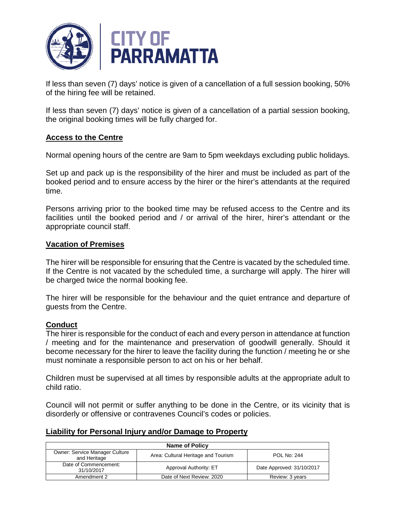

If less than seven (7) days' notice is given of a cancellation of a full session booking, 50% of the hiring fee will be retained.

If less than seven (7) days' notice is given of a cancellation of a partial session booking, the original booking times will be fully charged for.

## **Access to the Centre**

Normal opening hours of the centre are 9am to 5pm weekdays excluding public holidays.

Set up and pack up is the responsibility of the hirer and must be included as part of the booked period and to ensure access by the hirer or the hirer's attendants at the required time.

Persons arriving prior to the booked time may be refused access to the Centre and its facilities until the booked period and / or arrival of the hirer, hirer's attendant or the appropriate council staff.

#### **Vacation of Premises**

The hirer will be responsible for ensuring that the Centre is vacated by the scheduled time. If the Centre is not vacated by the scheduled time, a surcharge will apply. The hirer will be charged twice the normal booking fee.

The hirer will be responsible for the behaviour and the quiet entrance and departure of guests from the Centre.

## **Conduct**

The hirer is responsible for the conduct of each and every person in attendance at function / meeting and for the maintenance and preservation of goodwill generally. Should it become necessary for the hirer to leave the facility during the function / meeting he or she must nominate a responsible person to act on his or her behalf.

Children must be supervised at all times by responsible adults at the appropriate adult to child ratio.

Council will not permit or suffer anything to be done in the Centre, or its vicinity that is disorderly or offensive or contravenes Council's codes or policies.

## **Liability for Personal Injury and/or Damage to Property**

| <b>Name of Policy</b>                                 |                                     |                           |
|-------------------------------------------------------|-------------------------------------|---------------------------|
| <b>Owner: Service Manager Culture</b><br>and Heritage | Area: Cultural Heritage and Tourism | <b>POL No: 244</b>        |
| Date of Commencement:<br>31/10/2017                   | Approval Authority: ET              | Date Approved: 31/10/2017 |
| Amendment 2                                           | Date of Next Review: 2020           | Review: 3 years           |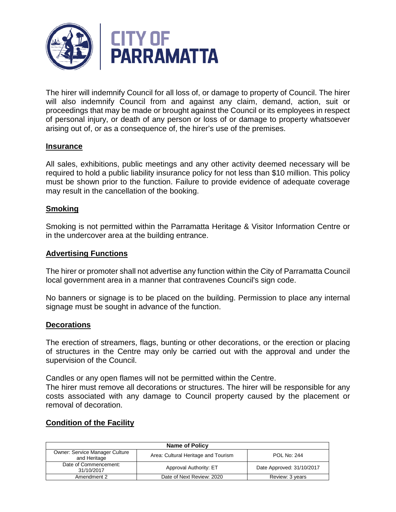

The hirer will indemnify Council for all loss of, or damage to property of Council. The hirer will also indemnify Council from and against any claim, demand, action, suit or proceedings that may be made or brought against the Council or its employees in respect of personal injury, or death of any person or loss of or damage to property whatsoever arising out of, or as a consequence of, the hirer's use of the premises.

## **Insurance**

All sales, exhibitions, public meetings and any other activity deemed necessary will be required to hold a public liability insurance policy for not less than \$10 million. This policy must be shown prior to the function. Failure to provide evidence of adequate coverage may result in the cancellation of the booking.

## **Smoking**

Smoking is not permitted within the Parramatta Heritage & Visitor Information Centre or in the undercover area at the building entrance.

# **Advertising Functions**

The hirer or promoter shall not advertise any function within the City of Parramatta Council local government area in a manner that contravenes Council's sign code.

No banners or signage is to be placed on the building. Permission to place any internal signage must be sought in advance of the function.

## **Decorations**

The erection of streamers, flags, bunting or other decorations, or the erection or placing of structures in the Centre may only be carried out with the approval and under the supervision of the Council.

Candles or any open flames will not be permitted within the Centre.

The hirer must remove all decorations or structures. The hirer will be responsible for any costs associated with any damage to Council property caused by the placement or removal of decoration.

## **Condition of the Facility**

| <b>Name of Policy</b>                          |                                     |                           |
|------------------------------------------------|-------------------------------------|---------------------------|
| Owner: Service Manager Culture<br>and Heritage | Area: Cultural Heritage and Tourism | <b>POL No: 244</b>        |
| Date of Commencement:<br>31/10/2017            | Approval Authority: ET              | Date Approved: 31/10/2017 |
| Amendment 2                                    | Date of Next Review: 2020           | Review: 3 years           |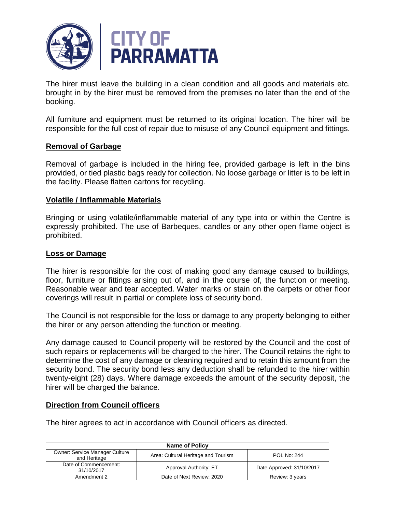

The hirer must leave the building in a clean condition and all goods and materials etc. brought in by the hirer must be removed from the premises no later than the end of the booking.

All furniture and equipment must be returned to its original location. The hirer will be responsible for the full cost of repair due to misuse of any Council equipment and fittings.

# **Removal of Garbage**

Removal of garbage is included in the hiring fee, provided garbage is left in the bins provided, or tied plastic bags ready for collection. No loose garbage or litter is to be left in the facility. Please flatten cartons for recycling.

## **Volatile / Inflammable Materials**

Bringing or using volatile/inflammable material of any type into or within the Centre is expressly prohibited. The use of Barbeques, candles or any other open flame object is prohibited.

# **Loss or Damage**

The hirer is responsible for the cost of making good any damage caused to buildings, floor, furniture or fittings arising out of, and in the course of, the function or meeting. Reasonable wear and tear accepted. Water marks or stain on the carpets or other floor coverings will result in partial or complete loss of security bond.

The Council is not responsible for the loss or damage to any property belonging to either the hirer or any person attending the function or meeting.

Any damage caused to Council property will be restored by the Council and the cost of such repairs or replacements will be charged to the hirer. The Council retains the right to determine the cost of any damage or cleaning required and to retain this amount from the security bond. The security bond less any deduction shall be refunded to the hirer within twenty-eight (28) days. Where damage exceeds the amount of the security deposit, the hirer will be charged the balance.

## **Direction from Council officers**

The hirer agrees to act in accordance with Council officers as directed.

| <b>Name of Policy</b>                          |                                     |                           |
|------------------------------------------------|-------------------------------------|---------------------------|
| Owner: Service Manager Culture<br>and Heritage | Area: Cultural Heritage and Tourism | <b>POL No: 244</b>        |
| Date of Commencement:<br>31/10/2017            | Approval Authority: ET              | Date Approved: 31/10/2017 |
| Amendment 2                                    | Date of Next Review: 2020           | Review: 3 years           |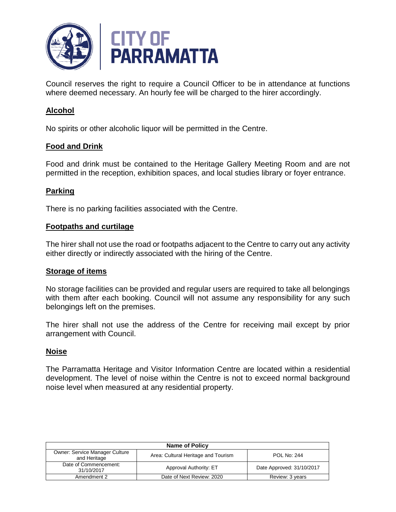

Council reserves the right to require a Council Officer to be in attendance at functions where deemed necessary. An hourly fee will be charged to the hirer accordingly.

# **Alcohol**

No spirits or other alcoholic liquor will be permitted in the Centre.

## **Food and Drink**

Food and drink must be contained to the Heritage Gallery Meeting Room and are not permitted in the reception, exhibition spaces, and local studies library or foyer entrance.

## **Parking**

There is no parking facilities associated with the Centre.

#### **Footpaths and curtilage**

The hirer shall not use the road or footpaths adjacent to the Centre to carry out any activity either directly or indirectly associated with the hiring of the Centre.

#### **Storage of items**

No storage facilities can be provided and regular users are required to take all belongings with them after each booking. Council will not assume any responsibility for any such belongings left on the premises.

The hirer shall not use the address of the Centre for receiving mail except by prior arrangement with Council.

## **Noise**

The Parramatta Heritage and Visitor Information Centre are located within a residential development. The level of noise within the Centre is not to exceed normal background noise level when measured at any residential property.

| <b>Name of Policy</b>                                 |                                     |                           |
|-------------------------------------------------------|-------------------------------------|---------------------------|
| <b>Owner: Service Manager Culture</b><br>and Heritage | Area: Cultural Heritage and Tourism | <b>POL No: 244</b>        |
| Date of Commencement:<br>31/10/2017                   | Approval Authority: ET              | Date Approved: 31/10/2017 |
| Amendment 2                                           | Date of Next Review: 2020           | Review: 3 years           |